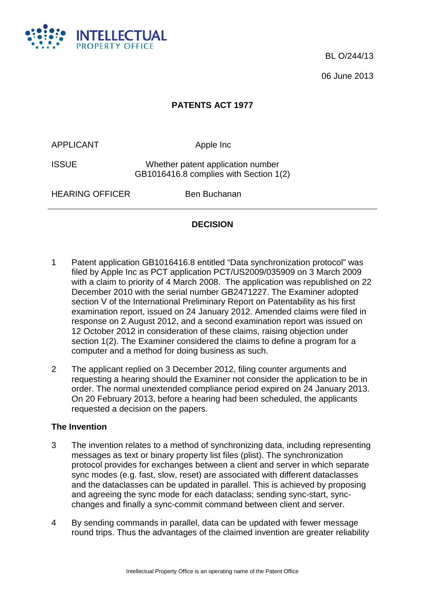

BL O/244/13

06 June 2013

# **PATENTS ACT 1977**

APPLICANT Apple Inc

ISSUE Whether patent application number GB1016416.8 complies with Section 1(2)

HEARING OFFICER Ben Buchanan

### **DECISION**

- 1 Patent application GB1016416.8 entitled "Data synchronization protocol" was filed by Apple Inc as PCT application PCT/US2009/035909 on 3 March 2009 with a claim to priority of 4 March 2008. The application was republished on 22 December 2010 with the serial number GB2471227. The Examiner adopted section V of the International Preliminary Report on Patentability as his first examination report, issued on 24 January 2012. Amended claims were filed in response on 2 August 2012, and a second examination report was issued on 12 October 2012 in consideration of these claims, raising objection under section 1(2). The Examiner considered the claims to define a program for a computer and a method for doing business as such.
- 2 The applicant replied on 3 December 2012, filing counter arguments and requesting a hearing should the Examiner not consider the application to be in order. The normal unextended compliance period expired on 24 January 2013. On 20 February 2013, before a hearing had been scheduled, the applicants requested a decision on the papers.

### **The Invention**

- 3 The invention relates to a method of synchronizing data, including representing messages as text or binary property list files (plist). The synchronization protocol provides for exchanges between a client and server in which separate sync modes (e.g. fast, slow, reset) are associated with different dataclasses and the dataclasses can be updated in parallel. This is achieved by proposing and agreeing the sync mode for each dataclass; sending sync-start, syncchanges and finally a sync-commit command between client and server.
- 4 By sending commands in parallel, data can be updated with fewer message round trips. Thus the advantages of the claimed invention are greater reliability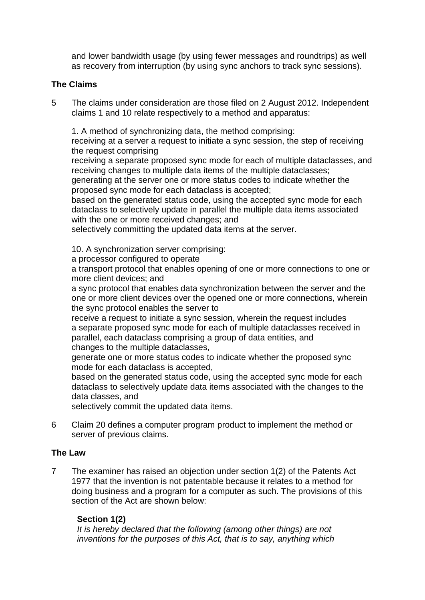and lower bandwidth usage (by using fewer messages and roundtrips) as well as recovery from interruption (by using sync anchors to track sync sessions).

### **The Claims**

5 The claims under consideration are those filed on 2 August 2012. Independent claims 1 and 10 relate respectively to a method and apparatus:

1. A method of synchronizing data, the method comprising:

receiving at a server a request to initiate a sync session, the step of receiving the request comprising

receiving a separate proposed sync mode for each of multiple dataclasses, and receiving changes to multiple data items of the multiple dataclasses;

generating at the server one or more status codes to indicate whether the proposed sync mode for each dataclass is accepted;

based on the generated status code, using the accepted sync mode for each dataclass to selectively update in parallel the multiple data items associated with the one or more received changes; and

selectively committing the updated data items at the server.

10. A synchronization server comprising:

a processor configured to operate

a transport protocol that enables opening of one or more connections to one or more client devices; and

a sync protocol that enables data synchronization between the server and the one or more client devices over the opened one or more connections, wherein the sync protocol enables the server to

receive a request to initiate a sync session, wherein the request includes a separate proposed sync mode for each of multiple dataclasses received in parallel, each dataclass comprising a group of data entities, and changes to the multiple dataclasses,

generate one or more status codes to indicate whether the proposed sync mode for each dataclass is accepted,

based on the generated status code, using the accepted sync mode for each dataclass to selectively update data items associated with the changes to the data classes, and

selectively commit the updated data items.

6 Claim 20 defines a computer program product to implement the method or server of previous claims.

### **The Law**

7 The examiner has raised an objection under section 1(2) of the Patents Act 1977 that the invention is not patentable because it relates to a method for doing business and a program for a computer as such. The provisions of this section of the Act are shown below:

### **Section 1(2)**

*It is hereby declared that the following (among other things) are not inventions for the purposes of this Act, that is to say, anything which*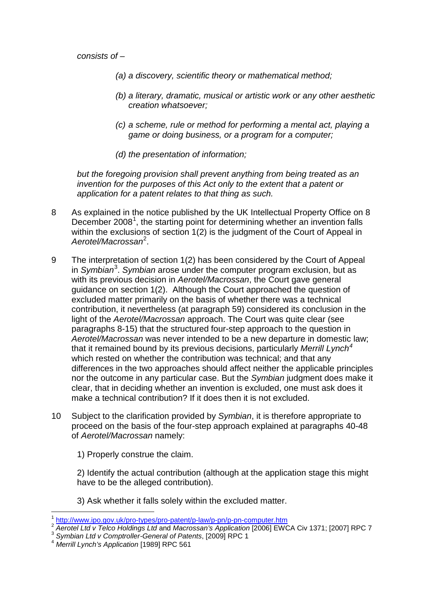*consists of –*

- *(a) a discovery, scientific theory or mathematical method;*
- *(b) a literary, dramatic, musical or artistic work or any other aesthetic creation whatsoever;*
- *(c) a scheme, rule or method for performing a mental act, playing a game or doing business, or a program for a computer;*
- *(d) the presentation of information;*

*but the foregoing provision shall prevent anything from being treated as an invention for the purposes of this Act only to the extent that a patent or application for a patent relates to that thing as such.*

- 8 As explained in the notice published by the UK Intellectual Property Office on 8 December 2008<sup>[1](#page-2-0)</sup>, the starting point for determining whether an invention falls within the exclusions of section 1(2) is the judgment of the Court of Appeal in *Aerotel/Macrossan*[2](#page-2-1) .
- 9 The interpretation of section 1(2) has been considered by the Court of Appeal in *Symbian*[3](#page-2-2) . *Symbian* arose under the computer program exclusion, but as with its previous decision in *Aerotel/Macrossan*, the Court gave general guidance on section 1(2). Although the Court approached the question of excluded matter primarily on the basis of whether there was a technical contribution, it nevertheless (at paragraph 59) considered its conclusion in the light of the *Aerotel/Macrossan* approach. The Court was quite clear (see paragraphs 8-15) that the structured four-step approach to the question in *Aerotel/Macrossan* was never intended to be a new departure in domestic law; that it remained bound by its previous decisions, particularly *Merrill Lynch[4](#page-2-3)* which rested on whether the contribution was technical; and that any differences in the two approaches should affect neither the applicable principles nor the outcome in any particular case. But the *Symbian* judgment does make it clear, that in deciding whether an invention is excluded, one must ask does it make a technical contribution? If it does then it is not excluded.
- 10 Subject to the clarification provided by *Symbian*, it is therefore appropriate to proceed on the basis of the four-step approach explained at paragraphs 40-48 of *Aerotel/Macrossan* namely:

1) Properly construe the claim.

2) Identify the actual contribution (although at the application stage this might have to be the alleged contribution).

3) Ask whether it falls solely within the excluded matter.

 $\overline{a}$ 

<span id="page-2-1"></span><span id="page-2-0"></span> $\frac{1}{2}$  http://www.ipo.gov.uk/pro-types/pro-patent/p-law/p-pn/p-pn-computer.htm<br>  $\frac{1}{2}$  Aerotel Ltd v Telco Holdings Ltd and Macrossan's Application [2006] EWCA Civ 1371; [2007] RPC 7<br>  $\frac{3}{4}$  Symbian Ltd v Comptro

<span id="page-2-2"></span>

<span id="page-2-3"></span>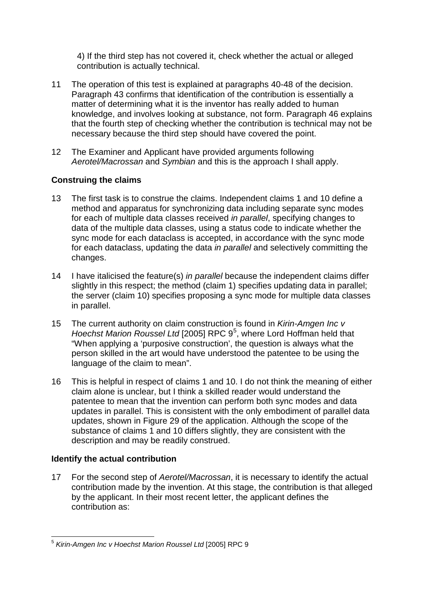4) If the third step has not covered it, check whether the actual or alleged contribution is actually technical.

- 11 The operation of this test is explained at paragraphs 40-48 of the decision. Paragraph 43 confirms that identification of the contribution is essentially a matter of determining what it is the inventor has really added to human knowledge, and involves looking at substance, not form. Paragraph 46 explains that the fourth step of checking whether the contribution is technical may not be necessary because the third step should have covered the point.
- 12 The Examiner and Applicant have provided arguments following *Aerotel/Macrossan* and *Symbian* and this is the approach I shall apply.

## **Construing the claims**

- 13 The first task is to construe the claims. Independent claims 1 and 10 define a method and apparatus for synchronizing data including separate sync modes for each of multiple data classes received *in parallel*, specifying changes to data of the multiple data classes, using a status code to indicate whether the sync mode for each dataclass is accepted, in accordance with the sync mode for each dataclass, updating the data *in parallel* and selectively committing the changes.
- 14 I have italicised the feature(s) *in parallel* because the independent claims differ slightly in this respect; the method (claim 1) specifies updating data in parallel; the server (claim 10) specifies proposing a sync mode for multiple data classes in parallel.
- 15 The current authority on claim construction is found in *Kirin-Amgen Inc v*  Hoechst Marion Roussel Ltd [200[5](#page-3-0)] RPC 9<sup>5</sup>, where Lord Hoffman held that "When applying a 'purposive construction', the question is always what the person skilled in the art would have understood the patentee to be using the language of the claim to mean".
- 16 This is helpful in respect of claims 1 and 10. I do not think the meaning of either claim alone is unclear, but I think a skilled reader would understand the patentee to mean that the invention can perform both sync modes and data updates in parallel. This is consistent with the only embodiment of parallel data updates, shown in Figure 29 of the application. Although the scope of the substance of claims 1 and 10 differs slightly, they are consistent with the description and may be readily construed.

## **Identify the actual contribution**

17 For the second step of *Aerotel/Macrossan*, it is necessary to identify the actual contribution made by the invention. At this stage, the contribution is that alleged by the applicant. In their most recent letter, the applicant defines the contribution as:

<span id="page-3-0"></span> $\overline{a}$ <sup>5</sup> *Kirin-Amgen Inc v Hoechst Marion Roussel Ltd* [2005] RPC 9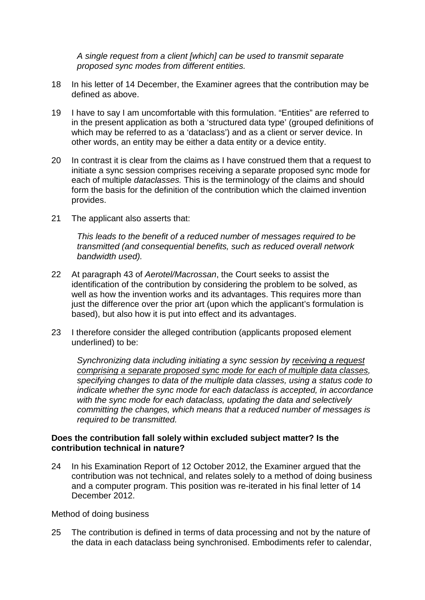*A single request from a client [which] can be used to transmit separate proposed sync modes from different entities.*

- 18 In his letter of 14 December, the Examiner agrees that the contribution may be defined as above.
- 19 I have to say I am uncomfortable with this formulation. "Entities" are referred to in the present application as both a 'structured data type' (grouped definitions of which may be referred to as a 'dataclass') and as a client or server device. In other words, an entity may be either a data entity or a device entity.
- 20 In contrast it is clear from the claims as I have construed them that a request to initiate a sync session comprises receiving a separate proposed sync mode for each of multiple *dataclasses.* This is the terminology of the claims and should form the basis for the definition of the contribution which the claimed invention provides.
- 21 The applicant also asserts that:

*This leads to the benefit of a reduced number of messages required to be transmitted (and consequential benefits, such as reduced overall network bandwidth used).*

- 22 At paragraph 43 of *Aerotel/Macrossan*, the Court seeks to assist the identification of the contribution by considering the problem to be solved, as well as how the invention works and its advantages. This requires more than just the difference over the prior art (upon which the applicant's formulation is based), but also how it is put into effect and its advantages.
- 23 I therefore consider the alleged contribution (applicants proposed element underlined) to be:

*Synchronizing data including initiating a sync session by receiving a request comprising a separate proposed sync mode for each of multiple data classes, specifying changes to data of the multiple data classes, using a status code to indicate whether the sync mode for each dataclass is accepted, in accordance with the sync mode for each dataclass, updating the data and selectively committing the changes, which means that a reduced number of messages is required to be transmitted.*

#### **Does the contribution fall solely within excluded subject matter? Is the contribution technical in nature?**

24 In his Examination Report of 12 October 2012, the Examiner argued that the contribution was not technical, and relates solely to a method of doing business and a computer program. This position was re-iterated in his final letter of 14 December 2012.

<span id="page-4-0"></span>Method of doing business

25 The contribution is defined in terms of data processing and not by the nature of the data in each dataclass being synchronised. Embodiments refer to calendar,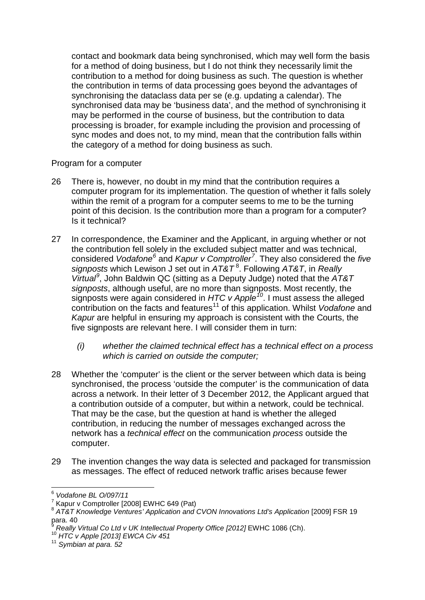contact and bookmark data being synchronised, which may well form the basis for a method of doing business, but I do not think they necessarily limit the contribution to a method for doing business as such. The question is whether the contribution in terms of data processing goes beyond the advantages of synchronising the dataclass data per se (e.g. updating a calendar). The synchronised data may be 'business data', and the method of synchronising it may be performed in the course of business, but the contribution to data processing is broader, for example including the provision and processing of sync modes and does not, to my mind, mean that the contribution falls within the category of a method for doing business as such.

### Program for a computer

- 26 There is, however, no doubt in my mind that the contribution requires a computer program for its implementation. The question of whether it falls solely within the remit of a program for a computer seems to me to be the turning point of this decision. Is the contribution more than a program for a computer? Is it technical?
- 27 In correspondence, the Examiner and the Applicant, in arguing whether or not the contribution fell solely in the excluded subject matter and was technical, considered *Vodafone[6](#page-5-0)* and *Kapur v Comptroller[7](#page-5-1)* . They also considered the *five*  signposts which Lewison J set out in  $AT&T^8$  $AT&T^8$ . Following AT&T, in *Really Virtual[9](#page-5-3)* , John Baldwin QC (sitting as a Deputy Judge) noted that the *AT&T signposts*, although useful, are no more than signposts. Most recently, the signposts were again considered in *HTC v Apple[10](#page-5-4)*. I must assess the alleged contribution on the facts and features[11](#page-5-5) of this application. Whilst *Vodafone* and *Kapur* are helpful in ensuring my approach is consistent with the Courts, the five signposts are relevant here. I will consider them in turn:
	- *(i) whether the claimed technical effect has a technical effect on a process which is carried on outside the computer;*
- 28 Whether the 'computer' is the client or the server between which data is being synchronised, the process 'outside the computer' is the communication of data across a network. In their letter of 3 December 2012, the Applicant argued that a contribution outside of a computer, but within a network, could be technical. That may be the case, but the question at hand is whether the alleged contribution, in reducing the number of messages exchanged across the network has a *technical effect* on the communication *process* outside the computer.
- 29 The invention changes the way data is selected and packaged for transmission as messages. The effect of reduced network traffic arises because fewer

 $\overline{a}$ <sup>6</sup> *Vodafone BL O/097/11*

<span id="page-5-1"></span><span id="page-5-0"></span><sup>7</sup> Kapur v Comptroller [2008] EWHC 649 (Pat)

<span id="page-5-2"></span><sup>&</sup>lt;sup>8</sup> AT&T Knowledge Ventures' Application and CVON Innovations Ltd's Application [2009] FSR 19 para. 40

<span id="page-5-4"></span><span id="page-5-3"></span><sup>&</sup>lt;sup>9</sup> *Really Virtual Co Ltd v UK Intellectual Property Office [2012]* EWHC 1086 (Ch).<br><sup>10</sup> *HTC v Apple [2013] EWCA Civ 451 11 Symbian at para. 52* 

<span id="page-5-5"></span>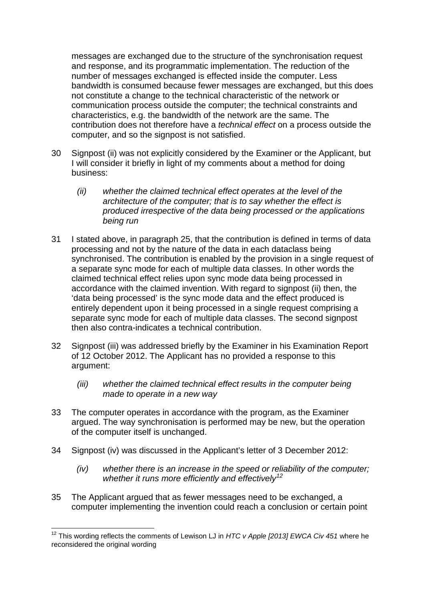messages are exchanged due to the structure of the synchronisation request and response, and its programmatic implementation. The reduction of the number of messages exchanged is effected inside the computer. Less bandwidth is consumed because fewer messages are exchanged, but this does not constitute a change to the technical characteristic of the network or communication process outside the computer; the technical constraints and characteristics, e.g. the bandwidth of the network are the same. The contribution does not therefore have a *technical effect* on a process outside the computer, and so the signpost is not satisfied.

- 30 Signpost (ii) was not explicitly considered by the Examiner or the Applicant, but I will consider it briefly in light of my comments about a method for doing business:
	- *(ii) whether the claimed technical effect operates at the level of the architecture of the computer; that is to say whether the effect is produced irrespective of the data being processed or the applications being run*
- 31 I stated above, in paragraph [25,](#page-4-0) that the contribution is defined in terms of data processing and not by the nature of the data in each dataclass being synchronised. The contribution is enabled by the provision in a single request of a separate sync mode for each of multiple data classes. In other words the claimed technical effect relies upon sync mode data being processed in accordance with the claimed invention. With regard to signpost (ii) then, the 'data being processed' is the sync mode data and the effect produced is entirely dependent upon it being processed in a single request comprising a separate sync mode for each of multiple data classes. The second signpost then also contra-indicates a technical contribution.
- 32 Signpost (iii) was addressed briefly by the Examiner in his Examination Report of 12 October 2012. The Applicant has no provided a response to this argument:
	- *(iii) whether the claimed technical effect results in the computer being made to operate in a new way*
- 33 The computer operates in accordance with the program, as the Examiner argued. The way synchronisation is performed may be new, but the operation of the computer itself is unchanged.
- 34 Signpost (iv) was discussed in the Applicant's letter of 3 December 2012:
	- *(iv) whether there is an increase in the speed or reliability of the computer; whether it runs more efficiently and effectively[12](#page-6-0)*
- 35 The Applicant argued that as fewer messages need to be exchanged, a computer implementing the invention could reach a conclusion or certain point

<span id="page-6-0"></span> $\overline{a}$ <sup>12</sup> This wording reflects the comments of Lewison LJ in *HTC v Apple [2013] EWCA Civ 451* where he reconsidered the original wording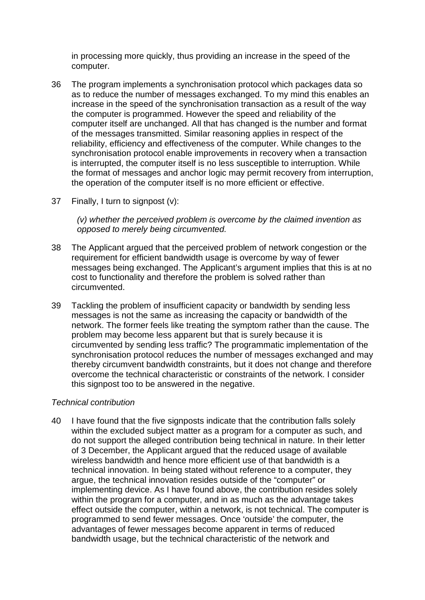in processing more quickly, thus providing an increase in the speed of the computer.

- 36 The program implements a synchronisation protocol which packages data so as to reduce the number of messages exchanged. To my mind this enables an increase in the speed of the synchronisation transaction as a result of the way the computer is programmed. However the speed and reliability of the computer itself are unchanged. All that has changed is the number and format of the messages transmitted. Similar reasoning applies in respect of the reliability, efficiency and effectiveness of the computer. While changes to the synchronisation protocol enable improvements in recovery when a transaction is interrupted, the computer itself is no less susceptible to interruption. While the format of messages and anchor logic may permit recovery from interruption, the operation of the computer itself is no more efficient or effective.
- 37 Finally, I turn to signpost (v):

*(v) whether the perceived problem is overcome by the claimed invention as opposed to merely being circumvented.*

- 38 The Applicant argued that the perceived problem of network congestion or the requirement for efficient bandwidth usage is overcome by way of fewer messages being exchanged. The Applicant's argument implies that this is at no cost to functionality and therefore the problem is solved rather than circumvented.
- 39 Tackling the problem of insufficient capacity or bandwidth by sending less messages is not the same as increasing the capacity or bandwidth of the network. The former feels like treating the symptom rather than the cause. The problem may become less apparent but that is surely because it is circumvented by sending less traffic? The programmatic implementation of the synchronisation protocol reduces the number of messages exchanged and may thereby circumvent bandwidth constraints, but it does not change and therefore overcome the technical characteristic or constraints of the network. I consider this signpost too to be answered in the negative.

#### *Technical contribution*

40 I have found that the five signposts indicate that the contribution falls solely within the excluded subject matter as a program for a computer as such, and do not support the alleged contribution being technical in nature. In their letter of 3 December, the Applicant argued that the reduced usage of available wireless bandwidth and hence more efficient use of that bandwidth is a technical innovation. In being stated without reference to a computer, they argue, the technical innovation resides outside of the "computer" or implementing device. As I have found above, the contribution resides solely within the program for a computer, and in as much as the advantage takes effect outside the computer, within a network, is not technical. The computer is programmed to send fewer messages. Once 'outside' the computer, the advantages of fewer messages become apparent in terms of reduced bandwidth usage, but the technical characteristic of the network and